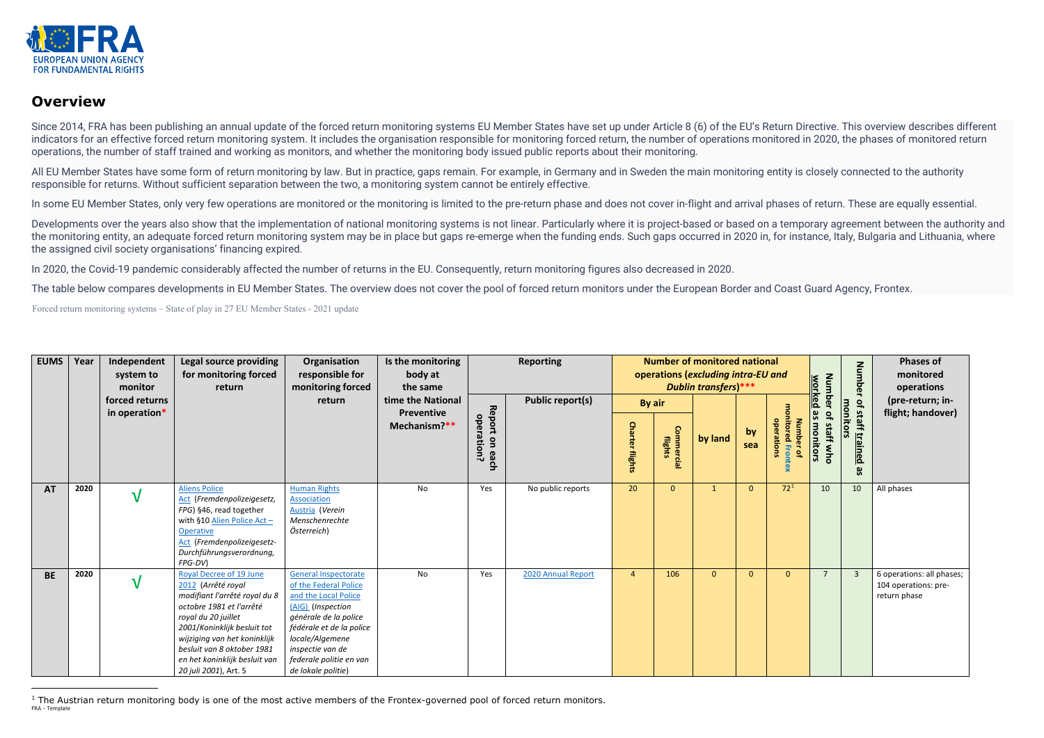<span id="page-0-0"></span>

## **Overview**

Since 2014, FRA has been publishing an annual update of the forced return monitoring systems EU Member States have set up under Article 8 (6) of the EU's Return Directive. This overview describes different indicators for an effective forced return monitoring system. It includes the organisation responsible for monitoring forced return, the number of operations monitored in 2020, the phases of monitored return operations, the number of staff trained and working as monitors, and whether the monitoring body issued public reports about their monitoring.

All EU Member States have some form of return monitoring by law. But in practice, gaps remain. For example, in Germany and in Sweden the main monitoring entity is closely connected to the authority responsible for returns. Without sufficient separation between the two, a monitoring system cannot be entirely effective.

Developments over the years also show that the implementation of national monitoring systems is not linear. Particularly where it is project-based or based on a temporary agreement between the authority and the monitoring entity, an adequate forced return monitoring system may be in place but gaps re-emerge when the funding ends. Such gaps occurred in 2020 in, for instance, Italy, Bulgaria and Lithuania, where the assigned civil society organisations' financing expired.

In some EU Member States, only very few operations are monitored or the monitoring is limited to the pre-return phase and does not cover in-flight and arrival phases of return. These are equally essential.

In 2020, the Covid-19 pandemic considerably affected the number of returns in the EU. Consequently, return monitoring figures also decreased in 2020.

The table below compares developments in EU Member States. The overview does not cover the pool of forced return monitors under the European Border and Coast Guard Agency, Frontex.

Forced return monitoring systems – State of play in 27 EU Member States - 2021 update

| <b>EUMS</b> | Year | Independent<br>system to<br>monitor | Legal source providing<br>for monitoring forced<br>return                                                                                                                                                                                                                                | Organisation<br>responsible for<br>monitoring forced                                                                                                                                                                                           | Is the monitoring<br>body at<br>the same               |                                                  | <b>Reporting</b>        |                                  | <b>Number of monitored national</b><br>operations (excluding intra-EU and<br><b>Dublin transfers)</b> *** |          |                | Num<br><u>worked</u>                                       | <b>Number</b>                                                       | <b>Phases of</b><br>monitored<br>operations |                                                                   |
|-------------|------|-------------------------------------|------------------------------------------------------------------------------------------------------------------------------------------------------------------------------------------------------------------------------------------------------------------------------------------|------------------------------------------------------------------------------------------------------------------------------------------------------------------------------------------------------------------------------------------------|--------------------------------------------------------|--------------------------------------------------|-------------------------|----------------------------------|-----------------------------------------------------------------------------------------------------------|----------|----------------|------------------------------------------------------------|---------------------------------------------------------------------|---------------------------------------------|-------------------------------------------------------------------|
|             |      | forced returns<br>in operation*     |                                                                                                                                                                                                                                                                                          | return                                                                                                                                                                                                                                         | time the National<br><b>Preventive</b><br>Mechanism?** | Report<br>operation?<br>$\mathbf{S}$<br>eac<br>ᠴ | <b>Public report(s)</b> | By air<br><b>Charter flights</b> | Commercial<br>flights                                                                                     | by land  | by<br>sea      | <b>Number</b><br>operations<br>Q<br>$\overline{a}$<br>ntex | <b>ber</b><br>9S<br>$\mathbf{a}$<br>monitors<br>staff<br><b>Mho</b> | of staff trained<br>monitors<br>9S          | (pre-return; in-<br>flight; handover)                             |
| <b>AT</b>   | 2020 | $\mathbf v$                         | <b>Aliens Police</b><br>Act (Fremdenpolizeigesetz,<br>FPG) §46, read together<br>with §10 Alien Police Act $-$<br>Operative<br>Act (Fremdenpolizeigesetz-<br>Durchführungsverordnung,<br>FPG-DV)                                                                                         | <b>Human Rights</b><br>Association<br>Austria (Verein<br>Menschenrechte<br>Österreich)                                                                                                                                                         | No                                                     | Yes                                              | No public reports       | 20                               | $\overline{0}$                                                                                            |          | $\overline{0}$ | 72 <sup>1</sup>                                            | 10                                                                  | 10                                          | All phases                                                        |
| <b>BE</b>   | 2020 | $\mathbf v$                         | Royal Decree of 19 June<br>2012 (Arrêté royal<br>modifiant l'arrêté royal du 8<br>octobre 1981 et l'arrêté<br>royal du 20 juillet<br>2001/Koninklijk besluit tot<br>wijziging van het koninklijk<br>besluit van 8 oktober 1981<br>en het koninklijk besluit van<br>20 juli 2001), Art. 5 | <b>General Inspectorate</b><br>of the Federal Police<br>and the Local Police<br>(AIG) (Inspection<br>générale de la police<br>fédérale et de la police<br>locale/Algemene<br>inspectie van de<br>federale politie en van<br>de lokale politie) | No                                                     | Yes                                              | 2020 Annual Report      | $\overline{4}$                   | 106                                                                                                       | $\Omega$ | $\mathbf{0}$   | $\overline{0}$                                             | $\overline{7}$                                                      |                                             | 6 operations: all phases;<br>104 operations: pre-<br>return phase |

FRA - Template <sup>1</sup> The Austrian return monitoring body is one of the most active members of the Frontex-governed pool of forced return monitors.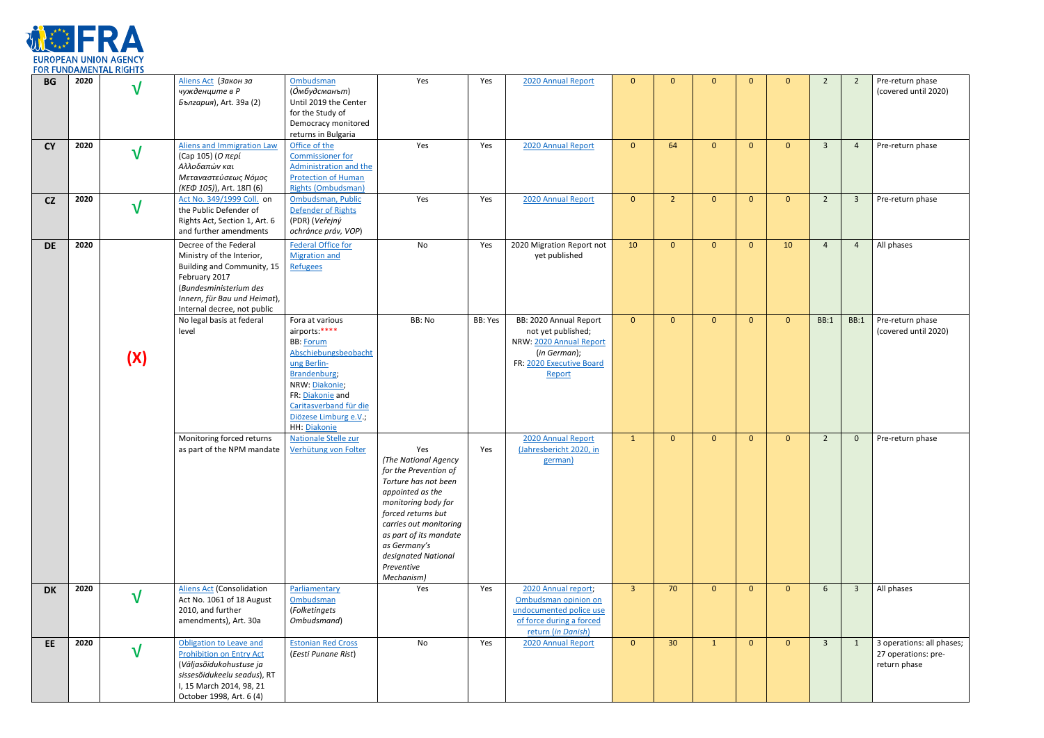

| <b>BG</b> | 2020 | ${\bf V}$    | Aliens Act (Закон за<br>чужденците в Р<br>България), Art. 39a (2)                                                                                                                          | Ombudsman<br>(Омбудсманът)<br>Until 2019 the Center<br>for the Study of<br>Democracy monitored<br>returns in Bulgaria                                                                                                | Yes                                                                                                                                                                                                                                                                  | Yes     | 2020 Annual Report                                                                                                            | $\mathbf{0}$   | $\Omega$        | $\mathbf{0}$   | $\Omega$     | $\mathbf{0}$   | $\overline{2}$          | $\overline{2}$ | Pre-return phase<br>(covered until 2020)                         |
|-----------|------|--------------|--------------------------------------------------------------------------------------------------------------------------------------------------------------------------------------------|----------------------------------------------------------------------------------------------------------------------------------------------------------------------------------------------------------------------|----------------------------------------------------------------------------------------------------------------------------------------------------------------------------------------------------------------------------------------------------------------------|---------|-------------------------------------------------------------------------------------------------------------------------------|----------------|-----------------|----------------|--------------|----------------|-------------------------|----------------|------------------------------------------------------------------|
| <b>CY</b> | 2020 | $\mathbf V$  | Aliens and Immigration Law<br>(Cap 105) (Ο περί<br>Αλλοδαπών και<br>Μεταναστεύσεως Νόμος<br>(KED 105)), Art. 18 $\Pi$ (6)                                                                  | Office of the<br><b>Commissioner for</b><br>Administration and the<br><b>Protection of Human</b><br><b>Rights (Ombudsman)</b>                                                                                        | Yes                                                                                                                                                                                                                                                                  | Yes     | 2020 Annual Report                                                                                                            | $\overline{0}$ | 64              | $\mathbf{0}$   | $\mathbf{0}$ | $\overline{0}$ | $\overline{3}$          | 4              | Pre-return phase                                                 |
| CZ        | 2020 | $\sqrt{}$    | Act No. 349/1999 Coll. on<br>the Public Defender of<br>Rights Act, Section 1, Art. 6<br>and further amendments                                                                             | Ombudsman, Public<br>Defender of Rights<br>(PDR) (Veřejný<br>ochránce práv, VOP)                                                                                                                                     | Yes                                                                                                                                                                                                                                                                  | Yes     | 2020 Annual Report                                                                                                            | $\overline{0}$ | $\overline{2}$  | $\mathbf{0}$   | $\mathbf{0}$ | $\overline{0}$ | $\overline{2}$          | $\overline{3}$ | Pre-return phase                                                 |
| <b>DE</b> | 2020 |              | Decree of the Federal<br>Ministry of the Interior,<br>Building and Community, 15<br>February 2017<br>(Bundesministerium des<br>Innern, für Bau und Heimat),<br>Internal decree, not public | <b>Federal Office for</b><br><b>Migration and</b><br>Refugees                                                                                                                                                        | No                                                                                                                                                                                                                                                                   | Yes     | 2020 Migration Report not<br>yet published                                                                                    | 10             | $\Omega$        | $\overline{0}$ | $\mathbf{0}$ | 10             | $\overline{4}$          | $\overline{4}$ | All phases                                                       |
|           |      | (X)          | No legal basis at federal<br>level                                                                                                                                                         | Fora at various<br>airports:****<br><b>BB: Forum</b><br>Abschiebungsbeobacht<br>ung Berlin-<br>Brandenburg;<br>NRW: Diakonie;<br>FR: Diakonie and<br>Caritasverband für die<br>Diözese Limburg e.V.,<br>HH: Diakonie | BB: No                                                                                                                                                                                                                                                               | BB: Yes | BB: 2020 Annual Report<br>not yet published;<br>NRW: 2020 Annual Report<br>(in German);<br>FR: 2020 Executive Board<br>Report | $\overline{0}$ | $\mathbf{0}$    | $\overline{0}$ | $\mathbf{0}$ | $\overline{0}$ | <b>BB:1</b>             | <b>BB:1</b>    | Pre-return phase<br>(covered until 2020)                         |
|           |      |              | Monitoring forced returns<br>as part of the NPM mandate                                                                                                                                    | Nationale Stelle zur<br>Verhütung von Folter                                                                                                                                                                         | Yes<br>(The National Agency<br>for the Prevention of<br>Torture has not been<br>appointed as the<br>monitoring body for<br>forced returns but<br>carries out monitoring<br>as part of its mandate<br>as Germany's<br>designated National<br>Preventive<br>Mechanism) | Yes     | 2020 Annual Report<br>(Jahresbericht 2020, in<br>german)                                                                      | $\mathbf{1}$   | $\mathbf{0}$    | $\mathbf{0}$   | $\mathbf{0}$ | $\overline{0}$ | $\overline{2}$          | $\mathbf{0}$   | Pre-return phase                                                 |
| <b>DK</b> | 2020 | $\mathbf{V}$ | <b>Aliens Act (Consolidation</b><br>Act No. 1061 of 18 August<br>2010, and further<br>amendments), Art. 30a                                                                                | Parliamentary<br>Ombudsman<br>(Folketingets<br>Ombudsmand)                                                                                                                                                           | Yes                                                                                                                                                                                                                                                                  | Yes     | 2020 Annual report;<br>Ombudsman opinion on<br>undocumented police use<br>of force during a forced<br>return (in Danish)      | 3 <sup>1</sup> | 70              | $\mathbf{0}$   | $\mathbf{0}$ | $\overline{0}$ | $6\overline{6}$         | $\overline{3}$ | All phases                                                       |
| EE.       | 2020 | $\mathbf V$  | Obligation to Leave and<br><b>Prohibition on Entry Act</b><br>(Väljasõidukohustuse ja<br>sissesõidukeelu seadus), RT<br>I, 15 March 2014, 98, 21<br>October 1998, Art. 6 (4)               | <b>Estonian Red Cross</b><br>(Eesti Punane Rist)                                                                                                                                                                     | No                                                                                                                                                                                                                                                                   | Yes     | 2020 Annual Report                                                                                                            | $\overline{0}$ | 30 <sup>°</sup> | $\mathbf{1}$   | $\mathbf{0}$ | $\overline{0}$ | $\overline{\mathbf{3}}$ | <sup>1</sup>   | 3 operations: all phases;<br>27 operations: pre-<br>return phase |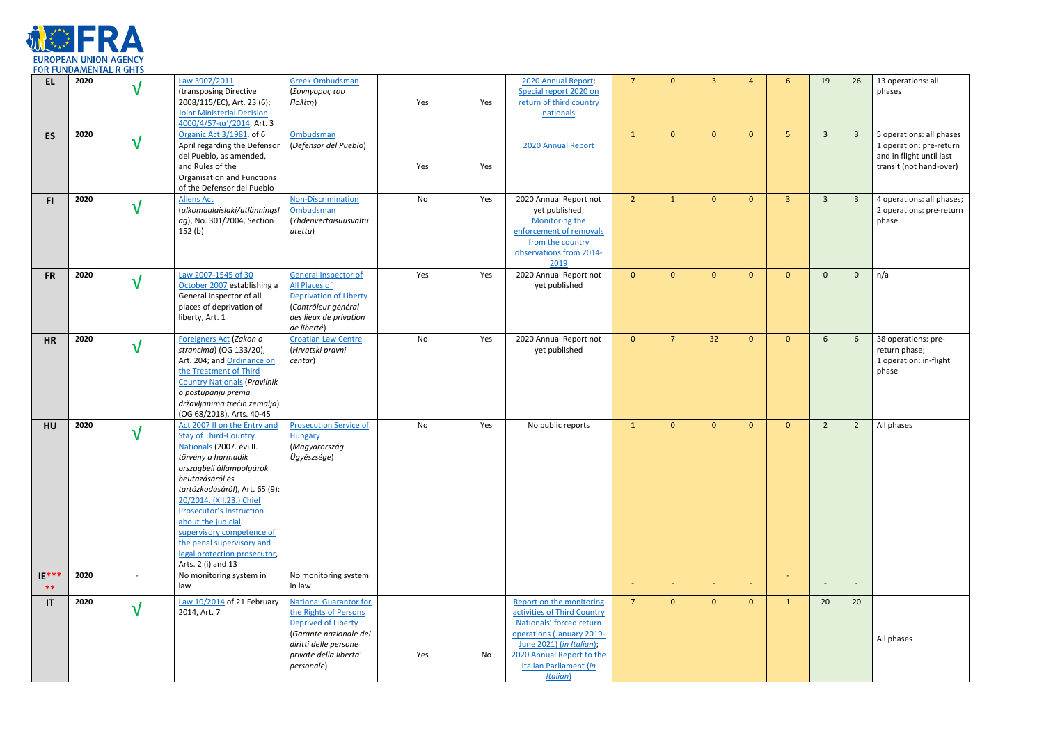

| <b>EL</b>        | 2020 | $\mathbf V$              | Law 3907/2011<br>(transposing Directive<br>2008/115/EC), Art. 23 (6);<br><b>Joint Ministerial Decision</b><br>4000/4/57-ια'/2014, Art. 3                                                                                                                                                                                                                                                             | <b>Greek Ombudsman</b><br>(Συνήγορος του<br>Πολίτη)                                                                                                                      | Yes | Yes | 2020 Annual Report;<br>Special report 2020 on<br>return of third country<br>nationals                                                                                                                                          | $\overline{7}$ | $\Omega$       | $\overline{3}$           | $\boldsymbol{\Delta}$ | $6^{\circ}$    | 19                      | 26                      | 13 operations: all<br>phases                                                                               |
|------------------|------|--------------------------|------------------------------------------------------------------------------------------------------------------------------------------------------------------------------------------------------------------------------------------------------------------------------------------------------------------------------------------------------------------------------------------------------|--------------------------------------------------------------------------------------------------------------------------------------------------------------------------|-----|-----|--------------------------------------------------------------------------------------------------------------------------------------------------------------------------------------------------------------------------------|----------------|----------------|--------------------------|-----------------------|----------------|-------------------------|-------------------------|------------------------------------------------------------------------------------------------------------|
| <b>ES</b>        | 2020 | $\mathbf v$              | Organic Act 3/1981, of 6<br>April regarding the Defensor<br>del Pueblo, as amended,<br>and Rules of the<br>Organisation and Functions<br>of the Defensor del Pueblo                                                                                                                                                                                                                                  | Ombudsman<br>(Defensor del Pueblo)                                                                                                                                       | Yes | Yes | 2020 Annual Report                                                                                                                                                                                                             | $\mathbf{1}$   | $\mathbf{0}$   | $\mathbf{0}$             | $\mathbf{0}$          | 5 <sup>1</sup> | $\overline{\mathbf{3}}$ | $\overline{\mathbf{3}}$ | 5 operations: all phases<br>1 operation: pre-return<br>and in flight until last<br>transit (not hand-over) |
| F1               | 2020 | $\sqrt{}$                | <b>Aliens Act</b><br>(ulkomaalaislaki/utlänningsl<br>ag), No. 301/2004, Section<br>152(b)                                                                                                                                                                                                                                                                                                            | Non-Discrimination<br>Ombudsman<br>(Yhdenvertaisuusvaltu<br>utettu)                                                                                                      | No  | Yes | 2020 Annual Report not<br>yet published;<br>Monitoring the<br>enforcement of removals<br>from the country<br>observations from 2014-<br>2019                                                                                   | 2 <sup>1</sup> | $\mathbf{1}$   | $\mathbf{0}$             | $\mathbf{0}$          | $\overline{3}$ | $\overline{3}$          | $\overline{3}$          | 4 operations: all phases;<br>2 operations: pre-return<br>phase                                             |
| <b>FR</b>        | 2020 | $\sqrt{}$                | Law 2007-1545 of 30<br>October 2007 establishing a<br>General inspector of all<br>places of deprivation of<br>liberty, Art. 1                                                                                                                                                                                                                                                                        | <b>General Inspector of</b><br><b>All Places of</b><br><b>Deprivation of Liberty</b><br>(Contrôleur général<br>des lieux de privation<br>de liberté)                     | Yes | Yes | 2020 Annual Report not<br>yet published                                                                                                                                                                                        | $\mathbf{0}$   | $\Omega$       | $\mathbf{0}$             | $\mathbf{0}$          | $\overline{0}$ | $\mathbf{0}$            | $\mathbf{0}$            | n/a                                                                                                        |
| <b>HR</b>        | 2020 | $\sqrt{}$                | Foreigners Act (Zakon o<br>strancima) (OG 133/20),<br>Art. 204; and Ordinance on<br>the Treatment of Third<br><b>Country Nationals (Pravilnik</b><br>o postupanju prema<br>državljanima trećih zemalja)<br>(OG 68/2018), Arts. 40-45                                                                                                                                                                 | <b>Croatian Law Centre</b><br>(Hrvatski pravni<br>centar)                                                                                                                | No  | Yes | 2020 Annual Report not<br>yet published                                                                                                                                                                                        | $\mathbf{0}$   | $\overline{7}$ | 32                       | $\mathbf{0}$          | $\overline{0}$ | 6                       | 6 <sup>1</sup>          | 38 operations: pre-<br>return phase;<br>1 operation: in-flight<br>phase                                    |
| <b>HU</b>        | 2020 | $\mathbf{V}$             | Act 2007 II on the Entry and<br><b>Stay of Third-Country</b><br>Nationals (2007. évi II.<br>törvény a harmadik<br>országbeli állampolgárok<br>beutazásáról és<br>tartózkodásáról), Art. 65 (9);<br>20/2014. (XII.23.) Chief<br><b>Prosecutor's Instruction</b><br>about the judicial<br>supervisory competence of<br>the penal supervisory and<br>legal protection prosecutor,<br>Arts. 2 (i) and 13 | <b>Prosecution Service of</b><br><b>Hungary</b><br>(Magyarország<br>Ügyészsége)                                                                                          | No  | Yes | No public reports                                                                                                                                                                                                              | $\mathbf{1}$   | $\mathbf{0}$   | $\mathbf{0}$             | $\mathbf{0}$          | $\overline{0}$ | $\overline{2}$          | $\overline{2}$          | All phases                                                                                                 |
| $IE***$<br>$* *$ | 2020 | $\overline{\phantom{a}}$ | No monitoring system in<br>law                                                                                                                                                                                                                                                                                                                                                                       | No monitoring system<br>in law                                                                                                                                           |     |     |                                                                                                                                                                                                                                | $\sim$         | ٠              | $\overline{\phantom{a}}$ |                       | $\sim$         |                         |                         |                                                                                                            |
| IT               | 2020 | $\sqrt{}$                | Law 10/2014 of 21 February<br>2014, Art. 7                                                                                                                                                                                                                                                                                                                                                           | <b>National Guarantor for</b><br>the Rights of Persons<br>Deprived of Liberty<br>(Garante nazionale dei<br>diritti delle persone<br>private della liberta'<br>personale) | Yes | No  | Report on the monitoring<br>activities of Third Country<br>Nationals' forced return<br>operations (January 2019-<br>June 2021) (in Italian);<br>2020 Annual Report to the<br><b>Italian Parliament (in</b><br><b>Italian</b> ) | 7 <sup>7</sup> | $\mathbf{0}$   | $\mathbf{0}$             | $\mathbf{0}$          | $\mathbf{1}$   | 20                      | 20                      | All phases                                                                                                 |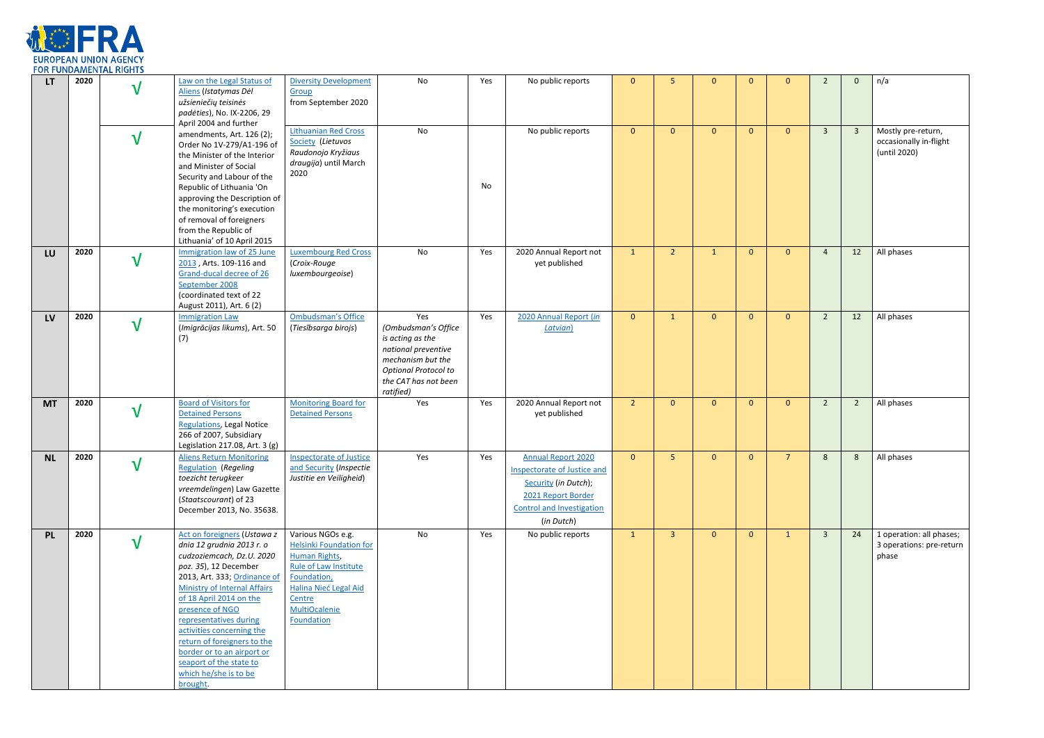

|           | .    |              |                                                                                                                                                                                                                                                                                                                                                                                                                         |                                                                                                                                                                                                      |                                                                                                                                                         |     |                                                                                                                                                                 |                 |                |              |              |                |                         |                         |                                                               |
|-----------|------|--------------|-------------------------------------------------------------------------------------------------------------------------------------------------------------------------------------------------------------------------------------------------------------------------------------------------------------------------------------------------------------------------------------------------------------------------|------------------------------------------------------------------------------------------------------------------------------------------------------------------------------------------------------|---------------------------------------------------------------------------------------------------------------------------------------------------------|-----|-----------------------------------------------------------------------------------------------------------------------------------------------------------------|-----------------|----------------|--------------|--------------|----------------|-------------------------|-------------------------|---------------------------------------------------------------|
| <b>LT</b> | 2020 | ٦            | Law on the Legal Status of<br>Aliens (Istatymas Dėl<br>užsieniečių teisinės<br>padėties), No. IX-2206, 29<br>April 2004 and further                                                                                                                                                                                                                                                                                     | <b>Diversity Development</b><br>Group<br>from September 2020                                                                                                                                         | No                                                                                                                                                      | Yes | No public reports                                                                                                                                               | $\overline{0}$  | -5             | $\Omega$     | $\mathbf{0}$ | $\Omega$       | $\overline{2}$          | $\mathbf{0}$            | n/a                                                           |
|           |      | $\mathbf{V}$ | amendments, Art. 126 (2);<br>Order No 1V-279/A1-196 of<br>the Minister of the Interior<br>and Minister of Social<br>Security and Labour of the<br>Republic of Lithuania 'On<br>approving the Description of<br>the monitoring's execution<br>of removal of foreigners<br>from the Republic of<br>Lithuania' of 10 April 2015                                                                                            | <b>Lithuanian Red Cross</b><br>Society (Lietuvos<br>Raudonojo Kryžiaus<br>draugija) until March<br>2020                                                                                              | No                                                                                                                                                      | No  | No public reports                                                                                                                                               | $\overline{0}$  | $\mathbf{0}$   | $\mathbf{0}$ | $\mathbf{0}$ | $\mathbf{0}$   | $\overline{\mathbf{3}}$ | $\overline{\mathbf{3}}$ | Mostly pre-return,<br>occasionally in-flight<br>(until 2020)  |
| LU        | 2020 | $\mathbf v$  | Immigration law of 25 June<br>2013, Arts. 109-116 and<br>Grand-ducal decree of 26<br>September 2008<br>(coordinated text of 22<br>August 2011), Art. 6 (2)                                                                                                                                                                                                                                                              | <b>Luxembourg Red Cross</b><br>(Croix-Rouge<br>luxembourgeoise)                                                                                                                                      | No                                                                                                                                                      | Yes | 2020 Annual Report not<br>yet published                                                                                                                         | $\mathbf{1}$    | $\overline{2}$ | -1           | $\mathbf{0}$ | $\Omega$       | $\overline{4}$          | 12                      | All phases                                                    |
| <b>LV</b> | 2020 | $\mathbf{V}$ | <b>Immigration Law</b><br>(Imigrācijas likums), Art. 50<br>(7)                                                                                                                                                                                                                                                                                                                                                          | <b>Ombudsman's Office</b><br>(Tiesībsarga birojs)                                                                                                                                                    | Yes<br>(Ombudsman's Office<br>is acting as the<br>national preventive<br>mechanism but the<br>Optional Protocol to<br>the CAT has not been<br>ratified) | Yes | 2020 Annual Report (in<br>Latvian)                                                                                                                              | $\overline{0}$  | $\mathbf{1}$   | $\mathbf{0}$ | $\mathbf{0}$ | $\mathbf{0}$   | $\overline{2}$          | 12                      | All phases                                                    |
| <b>MT</b> | 2020 | $\mathbf v$  | <b>Board of Visitors for</b><br><b>Detained Persons</b><br><b>Regulations, Legal Notice</b><br>266 of 2007, Subsidiary<br>Legislation 217.08, Art. 3 (g)                                                                                                                                                                                                                                                                | Monitoring Board for<br><b>Detained Persons</b>                                                                                                                                                      | Yes                                                                                                                                                     | Yes | 2020 Annual Report not<br>yet published                                                                                                                         | 2 <sup>1</sup>  | $\overline{0}$ | $\mathbf{0}$ | $\mathbf{0}$ | $\mathbf{0}$   | $\overline{2}$          | $\overline{2}$          | All phases                                                    |
| <b>NL</b> | 2020 | ${\bf V}$    | <b>Aliens Return Monitoring</b><br><b>Regulation (Regeling</b><br>toezicht terugkeer<br>vreemdelingen) Law Gazette<br>(Staatscourant) of 23<br>December 2013, No. 35638.                                                                                                                                                                                                                                                | <b>Inspectorate of Justice</b><br>and Security (Inspectie<br>Justitie en Veiligheid)                                                                                                                 | Yes                                                                                                                                                     | Yes | <b>Annual Report 2020</b><br><b>Inspectorate of Justice and</b><br>Security (in Dutch);<br>2021 Report Border<br><b>Control and Investigation</b><br>(in Dutch) | $\overline{0}$  | 5              | $\mathbf{0}$ | $\mathbf{0}$ | $\overline{7}$ | 8                       | 8                       | All phases                                                    |
| <b>PL</b> | 2020 | $\mathbf v$  | Act on foreigners (Ustawa z<br>dnia 12 grudnia 2013 r. o<br>cudzoziemcach, Dz.U. 2020<br>poz. 35), 12 December<br>2013, Art. 333; Ordinance of<br><b>Ministry of Internal Affairs</b><br>of 18 April 2014 on the<br>presence of NGO<br>representatives during<br>activities concerning the<br>return of foreigners to the<br>border or to an airport or<br>seaport of the state to<br>which he/she is to be<br>brought. | Various NGOs e.g.<br><b>Helsinki Foundation for</b><br><b>Human Rights</b> ,<br><b>Rule of Law Institute</b><br>Foundation,<br><b>Halina Nieć Legal Aid</b><br>Centre<br>MultiOcalenie<br>Foundation | No                                                                                                                                                      | Yes | No public reports                                                                                                                                               | $\vert 1 \vert$ | $\overline{3}$ | $\mathbf{0}$ | $\mathbf{0}$ | $\mathbf{1}$   | $\overline{\mathbf{3}}$ | 24                      | 1 operation: all phases;<br>3 operations: pre-return<br>phase |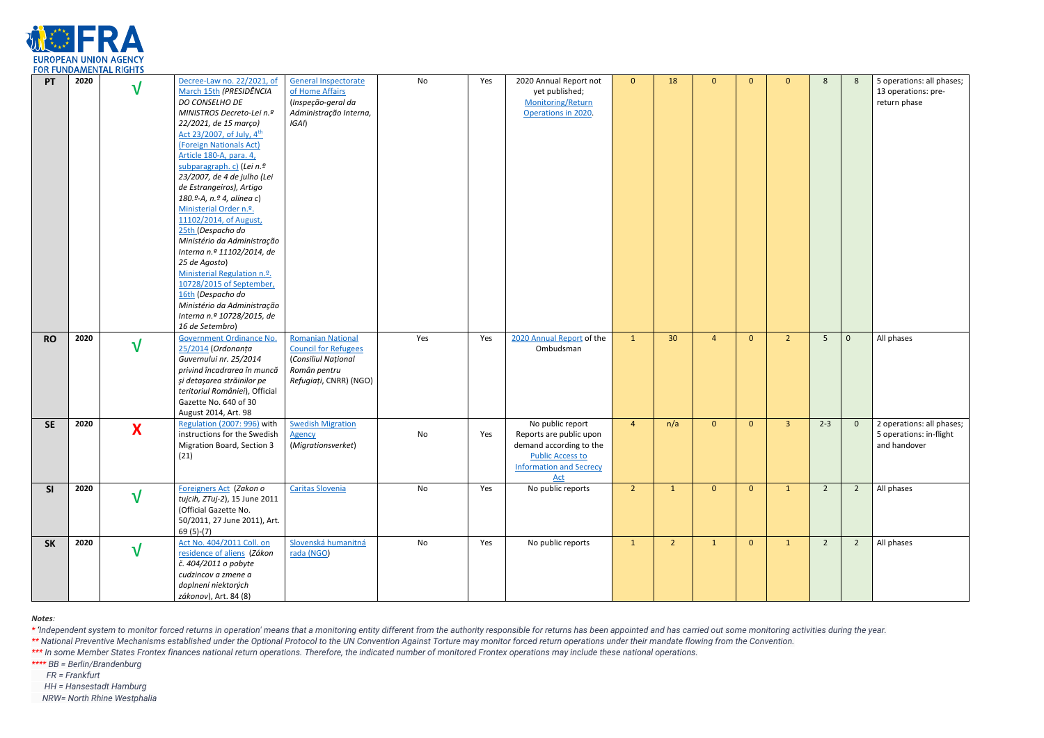*Notes:*

\* 'Independent system to monitor forced returns in operation' means that a monitoring entity different from the authority responsible for returns has been appointed and has carried out some monitoring activities during the \*\* National Preventive Mechanisms established under the Optional Protocol to the UN Convention Against Torture may monitor forced return operations under their mandate flowing from the Convention.

\*\*\* In some Member States Frontex finances national return operations. Therefore, the indicated number of monitored Frontex operations may include these national operations.

*\*\*\*\* BB = Berlin/Brandenburg* 

 *FR = Frankfurt* 

 *HH = Hansestadt Hamburg* 

 *NRW= North Rhine Westphalia*



| PT        | 2020 | $\mathsf{V}$ | Decree-Law no. 22/2021, of<br>March 15th (PRESIDÊNCIA<br>DO CONSELHO DE<br>MINISTROS Decreto-Lei n.º<br>22/2021, de 15 março)<br>Act 23/2007, of July, 4th<br>(Foreign Nationals Act)<br>Article 180-A, para. 4,<br>subparagraph. c) (Lei n.º<br>23/2007, de 4 de julho (Lei<br>de Estrangeiros), Artigo<br>180.º-A, n.º 4, alínea c)<br>Ministerial Order n.º.<br>11102/2014, of August,<br>25th (Despacho do<br>Ministério da Administração<br>Interna n.º 11102/2014, de<br>25 de Agosto)<br>Ministerial Regulation n.º.<br>10728/2015 of September,<br>16th (Despacho do<br>Ministério da Administração<br>Interna n.º 10728/2015, de<br>16 de Setembro) | <b>General Inspectorate</b><br>of Home Affairs<br>(Inspeção-geral da<br>Administração Interna,<br>IGAI)                  | No  | Yes | 2020 Annual Report not<br>yet published;<br>Monitoring/Return<br>Operations in 2020.                                                       | $\mathbf{0}$   | 18             | $\mathbf{0}$          | $\Omega$       | $\mathbf{0}$   | 8              | -8             | 5 operations: all phases;<br>13 operations: pre-<br>return phase     |
|-----------|------|--------------|--------------------------------------------------------------------------------------------------------------------------------------------------------------------------------------------------------------------------------------------------------------------------------------------------------------------------------------------------------------------------------------------------------------------------------------------------------------------------------------------------------------------------------------------------------------------------------------------------------------------------------------------------------------|--------------------------------------------------------------------------------------------------------------------------|-----|-----|--------------------------------------------------------------------------------------------------------------------------------------------|----------------|----------------|-----------------------|----------------|----------------|----------------|----------------|----------------------------------------------------------------------|
| <b>RO</b> | 2020 | $\sqrt{}$    | Government Ordinance No.<br>25/2014 (Ordonanța<br>Guvernului nr. 25/2014<br>privind încadrarea în muncă<br>și detașarea străinilor pe<br>teritoriul României), Official<br>Gazette No. 640 of 30<br>August 2014, Art. 98                                                                                                                                                                                                                                                                                                                                                                                                                                     | <b>Romanian National</b><br><b>Council for Refugees</b><br>(Consiliul Național<br>Român pentru<br>Refugiați, CNRR) (NGO) | Yes | Yes | 2020 Annual Report of the<br>Ombudsman                                                                                                     | $\mathbf{1}$   | 30             | $\boldsymbol{\Delta}$ | $\mathbf{0}$   | 2 <sup>2</sup> | 5              | $\mathbf 0$    | All phases                                                           |
| <b>SE</b> | 2020 | X            | Regulation (2007: 996) with<br>instructions for the Swedish<br>Migration Board, Section 3<br>(21)                                                                                                                                                                                                                                                                                                                                                                                                                                                                                                                                                            | <b>Swedish Migration</b><br><b>Agency</b><br>(Migrationsverket)                                                          | No  | Yes | No public report<br>Reports are public upon<br>demand according to the<br><b>Public Access to</b><br><b>Information and Secrecy</b><br>Act | $\overline{4}$ | n/a            | $\mathbf{0}$          | $\mathbf{0}$   | $\overline{3}$ | $2 - 3$        | $\mathbf{0}$   | 2 operations: all phases;<br>5 operations: in-flight<br>and handover |
| SI        | 2020 | $\bf V$      | Foreigners Act (Zakon o<br>tujcih, ZTuj-2), 15 June 2011<br>(Official Gazette No.<br>50/2011, 27 June 2011), Art.<br>69 (5)-(7)                                                                                                                                                                                                                                                                                                                                                                                                                                                                                                                              | Caritas Slovenia                                                                                                         | No  | Yes | No public reports                                                                                                                          | 2 <sup>7</sup> | $\mathbf{1}$   | $\overline{0}$        | $\overline{0}$ | 1              | $\overline{2}$ | $2^{\circ}$    | All phases                                                           |
| <b>SK</b> | 2020 | $\sqrt{}$    | Act No. 404/2011 Coll. on<br>residence of aliens (Zákon<br>č. 404/2011 o pobyte<br>cudzincov a zmene a<br>doplnení niektorých<br>zákonov), Art. 84 (8)                                                                                                                                                                                                                                                                                                                                                                                                                                                                                                       | Slovenská humanitná<br>rada (NGO)                                                                                        | No  | Yes | No public reports                                                                                                                          | $\mathbf{1}$   | $\overline{2}$ | $\mathbf{1}$          | $\mathbf{0}$   | $\mathbf{1}$   | $\overline{2}$ | $\overline{2}$ | All phases                                                           |